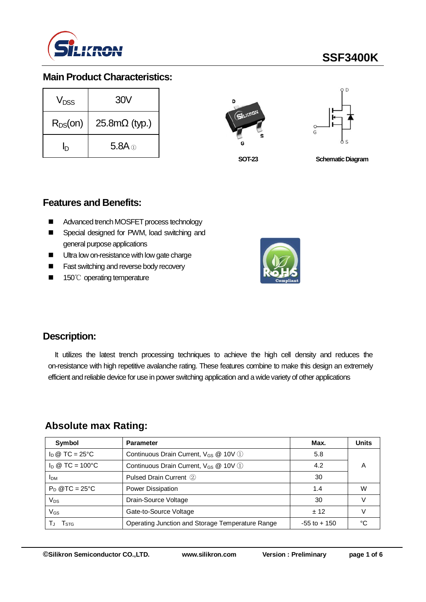

# **SSF3400K**

## **Main Product Characteristics:**

| V <sub>nss</sub> | 30V                  |  |  |  |  |
|------------------|----------------------|--|--|--|--|
| $R_{DS}(on)$     | $25.8m\Omega$ (typ.) |  |  |  |  |
| In               | $5.8A \odot$         |  |  |  |  |





**SOT-23**

**Schematic Diagram** 

### **Features and Benefits:**

- Advanced trench MOSFET process technology
- Special designed for PWM, load switching and general purpose applications
- Ultra low on-resistance with low gate charge
- **Fast switching and reverse body recovery**
- 150℃ operating temperature



### **Description:**

It utilizes the latest trench processing techniques to achieve the high cell density and reduces the on-resistance with high repetitive avalanche rating. These features combine to make this design an extremely efficient and reliable device for use in power switching application and a wide variety of other applications

### **Absolute max Rating:**

| Symbol                 | <b>Parameter</b>                                  | Max.            | <b>Units</b> |  |  |
|------------------------|---------------------------------------------------|-----------------|--------------|--|--|
| $\ln \omega$ TC = 25°C | Continuous Drain Current, V <sub>GS</sub> @ 10V 1 | 5.8             |              |  |  |
| $I_D @ TC = 100°C$     | Continuous Drain Current, V <sub>GS</sub> @ 10V 1 |                 |              |  |  |
| I <sub>DM</sub>        | Pulsed Drain Current 2                            | 30              |              |  |  |
| $P_D$ @TC = 25°C       | Power Dissipation                                 | 1.4             | W            |  |  |
| $V_{DS}$               | Drain-Source Voltage                              | 30              |              |  |  |
| $V_{GS}$               | Gate-to-Source Voltage                            | $+12$           |              |  |  |
| l stg                  | Operating Junction and Storage Temperature Range  | $-55$ to $+150$ | °∩           |  |  |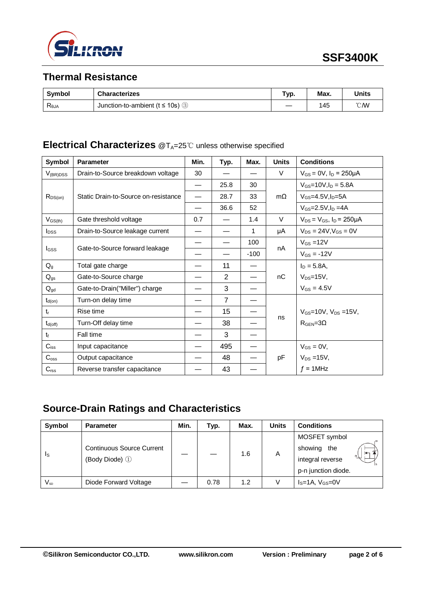

# **Thermal Resistance**

| <b>Symbol</b>  | <b>Characterizes</b>                  | Гур. | Max. | Units         |
|----------------|---------------------------------------|------|------|---------------|
| $R_{\theta$ JA | Junction-to-ambient ( $t \le 10$ s) ③ |      | 145  | $\degree$ CMV |

### **Electrical Characterizes** @T<sub>A</sub>=25℃ unless otherwise specified

| Symbol                  | <b>Parameter</b>                     | Min. | Typ.           | Max.   | <b>Units</b> | <b>Conditions</b>                           |
|-------------------------|--------------------------------------|------|----------------|--------|--------------|---------------------------------------------|
| $V_{(BR)DSS}$           | Drain-to-Source breakdown voltage    | 30   |                |        | V            | $V_{GS} = 0V$ , $I_D = 250 \mu A$           |
|                         | Static Drain-to-Source on-resistance |      | 25.8           | 30     |              | $V_{GS} = 10V, I_D = 5.8A$                  |
| $R_{DS(on)}$            |                                      |      | 28.7           | 33     | $m\Omega$    | $V$ <sub>GS</sub> =4.5V.I <sub>D</sub> =5A  |
|                         |                                      |      | 36.6           | 52     |              | $V_{GS} = 2.5 V, I_D = 4A$                  |
| $V_{GS(th)}$            | Gate threshold voltage               | 0.7  |                | 1.4    | $\vee$       | $V_{DS} = V_{GS}$ , $I_D = 250 \mu A$       |
| <b>I</b> <sub>DSS</sub> | Drain-to-Source leakage current      |      |                | 1      | μA           | $V_{DS} = 24V$ , $V_{GS} = 0V$              |
|                         | Gate-to-Source forward leakage       |      |                | 100    | nA           | $V_{GS} = 12V$                              |
| I <sub>GSS</sub>        |                                      |      |                | $-100$ |              | $V_{GS} = -12V$                             |
| $Q_g$                   | Total gate charge                    |      | 11             |        |              | $I_D = 5.8A,$                               |
| $Q_{gs}$                | Gate-to-Source charge                |      | $\overline{2}$ |        | nC           | $V_{DS} = 15V$ ,                            |
| $Q_{gd}$                | Gate-to-Drain("Miller") charge       |      | 3              |        |              | $V_{GS} = 4.5V$                             |
| $t_{d(on)}$             | Turn-on delay time                   |      | $\overline{7}$ |        |              |                                             |
| $t_{r}$                 | Rise time                            |      | 15             |        | ns           | $V_{\text{GS}}$ =10V, $V_{\text{DS}}$ =15V, |
| $t_{d(off)}$            | Turn-Off delay time                  |      | 38             |        |              | $R$ GEN=30                                  |
| $t_{\rm f}$             | Fall time                            |      | 3              |        |              |                                             |
| $C_{\text{iss}}$        | Input capacitance                    |      | 495            |        |              | $V_{GS} = 0V$ ,                             |
| $C_{\rm oss}$           | Output capacitance                   |      | 48             |        | pF           | $V_{DS}$ =15V,                              |
| C <sub>rss</sub>        | Reverse transfer capacitance         |      | 43             |        |              | $f = 1$ MHz                                 |

# **Source-Drain Ratings and Characteristics**

| Symbol   | <b>Parameter</b>                                   | Min. | Typ. | Max. | <b>Units</b> | <b>Conditions</b>   |
|----------|----------------------------------------------------|------|------|------|--------------|---------------------|
| Is       | <b>Continuous Source Current</b><br>(Body Diode) 1 |      |      | 1.6  | A            | MOSFET symbol       |
|          |                                                    |      |      |      |              | showing<br>the      |
|          |                                                    |      |      |      |              | integral reverse    |
|          |                                                    |      |      |      |              | p-n junction diode. |
| $V_{SD}$ | Diode Forward Voltage                              |      | 0.78 | 1.2  | V            | $IS=1A, VGS=0V$     |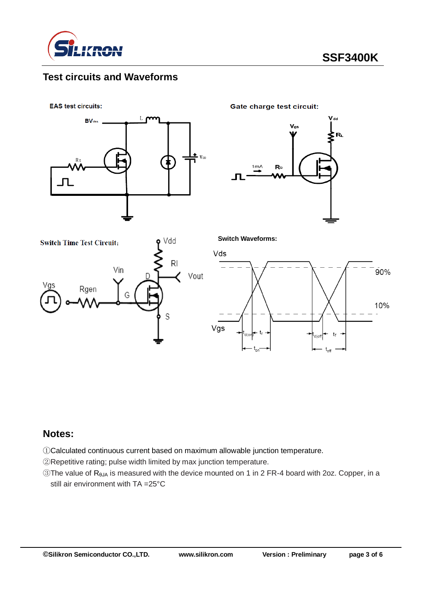

## **Test circuits and Waveforms**

**EAS test circuits:** 



**Gate charge test circuit:** 

**Switch Waveforms:**







#### **Notes:**

①Calculated continuous current based on maximum allowable junction temperature.

②Repetitive rating; pulse width limited by max junction temperature.

③The value of RθJA is measured with the device mounted on 1 in 2 FR-4 board with 2oz. Copper, in a still air environment with TA =25°C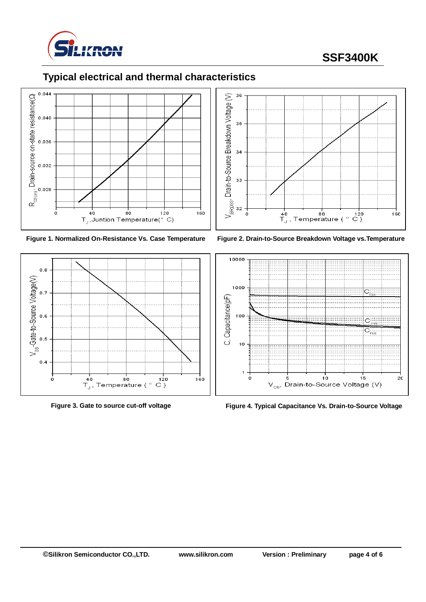

# **SSF3400K**

# **Typical electrical and thermal characteristics**













**Figure 3. Gate to source cut-off voltage Figure 4. Typical Capacitance Vs. Drain-to-Source Voltage**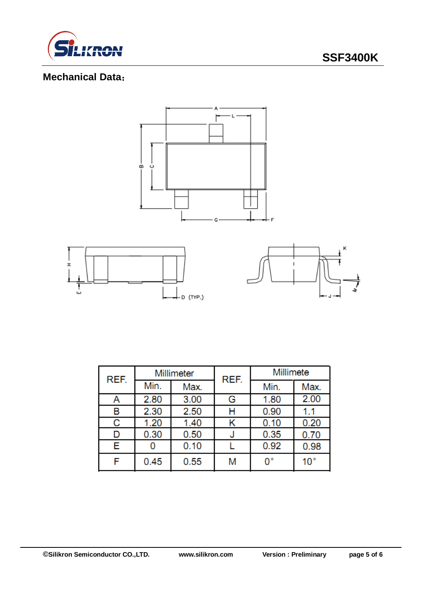

# **Mechanical Data**:



| REF. | Millimeter |      | REF. | Millimete |              |  |
|------|------------|------|------|-----------|--------------|--|
|      | Min.       | Max. |      | Min.      | Max.         |  |
| Α    | 2.80       | 3.00 | G    | 1.80      | 2.00         |  |
| В    | 2.30       | 2.50 | н    | 0.90      | 1.1          |  |
| С    | 1.20       | 1.40 |      | 0.10      | 0.20         |  |
| D    | 0.30       | 0.50 |      | 0.35      | 0.70         |  |
| Е    |            | 0.10 |      | 0.92      | 0.98         |  |
| F    | 0.45       | 0.55 | Μ    | 0°        | $10^{\circ}$ |  |